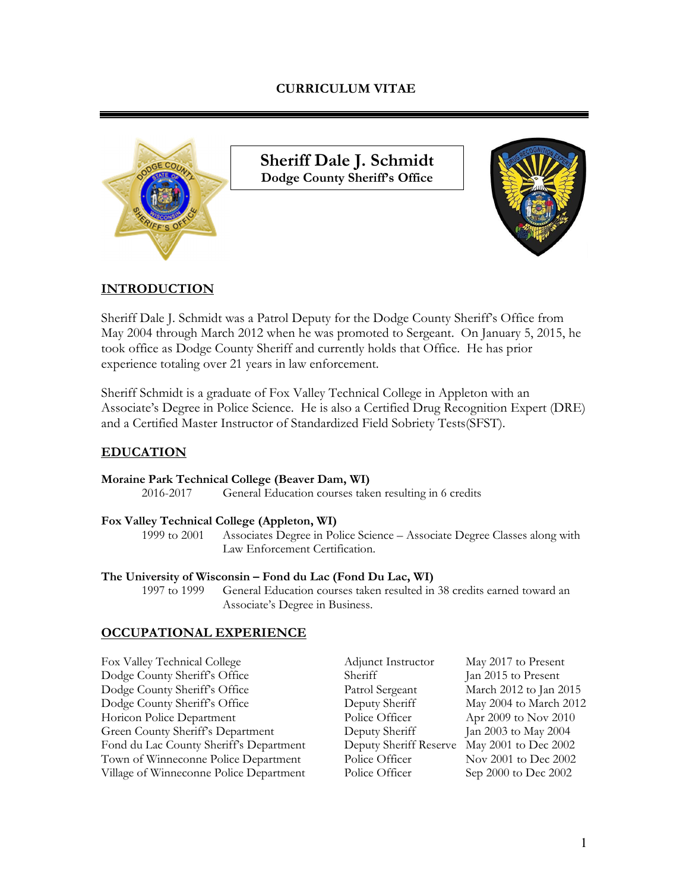# **CURRICULUM VITAE**



**Sheriff Dale J. Schmidt Dodge County Sheriff's Office**



# **INTRODUCTION**

Sheriff Dale J. Schmidt was a Patrol Deputy for the Dodge County Sheriff's Office from May 2004 through March 2012 when he was promoted to Sergeant. On January 5, 2015, he took office as Dodge County Sheriff and currently holds that Office. He has prior experience totaling over 21 years in law enforcement.

Sheriff Schmidt is a graduate of Fox Valley Technical College in Appleton with an Associate's Degree in Police Science. He is also a Certified Drug Recognition Expert (DRE) and a Certified Master Instructor of Standardized Field Sobriety Tests(SFST).

# **EDUCATION**

#### **Moraine Park Technical College (Beaver Dam, WI)**

2016-2017 General Education courses taken resulting in 6 credits

#### **Fox Valley Technical College (Appleton, WI)**

1999 to 2001 Associates Degree in Police Science – Associate Degree Classes along with Law Enforcement Certification.

#### **The University of Wisconsin – Fond du Lac (Fond Du Lac, WI)**

1997 to 1999 General Education courses taken resulted in 38 credits earned toward an Associate's Degree in Business.

# **OCCUPATIONAL EXPERIENCE**

| Fox Valley Technical College            | Adjunct Instructor     | May 2017 to Present    |
|-----------------------------------------|------------------------|------------------------|
| Dodge County Sheriff's Office           | Sheriff                | Jan 2015 to Present    |
| Dodge County Sheriff's Office           | Patrol Sergeant        | March 2012 to Jan 2015 |
| Dodge County Sheriff's Office           | Deputy Sheriff         | May 2004 to March 2012 |
| Horicon Police Department               | Police Officer         | Apr 2009 to Nov 2010   |
| Green County Sheriff's Department       | Deputy Sheriff         | Jan 2003 to May 2004   |
| Fond du Lac County Sheriff's Department | Deputy Sheriff Reserve | May 2001 to Dec 2002   |
| Town of Winneconne Police Department    | Police Officer         | Nov 2001 to Dec 2002   |
| Village of Winneconne Police Department | Police Officer         | Sep 2000 to Dec 2002   |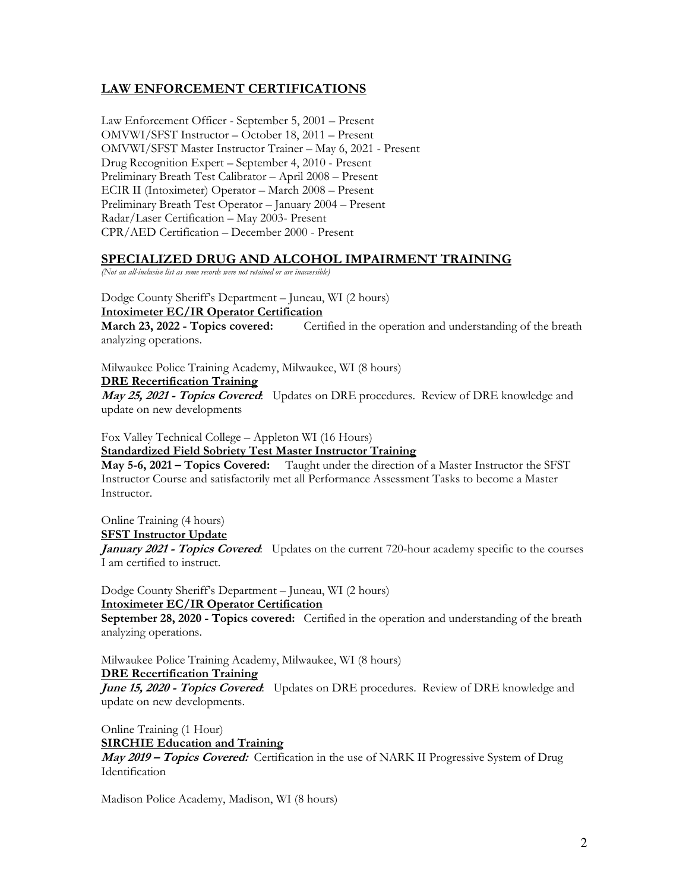# **LAW ENFORCEMENT CERTIFICATIONS**

Law Enforcement Officer - September 5, 2001 – Present OMVWI/SFST Instructor – October 18, 2011 – Present OMVWI/SFST Master Instructor Trainer – May 6, 2021 - Present Drug Recognition Expert – September 4, 2010 - Present Preliminary Breath Test Calibrator – April 2008 – Present ECIR II (Intoximeter) Operator – March 2008 – Present Preliminary Breath Test Operator – January 2004 – Present Radar/Laser Certification – May 2003- Present CPR/AED Certification – December 2000 - Present

#### **SPECIALIZED DRUG AND ALCOHOL IMPAIRMENT TRAINING**

*(Not an all-inclusive list as some records were not retained or are inaccessible)* 

Dodge County Sheriff's Department – Juneau, WI (2 hours) **Intoximeter EC/IR Operator Certification** 

**March 23, 2022 - Topics covered:** Certified in the operation and understanding of the breath analyzing operations.

Milwaukee Police Training Academy, Milwaukee, WI (8 hours)

**DRE Recertification Training** 

**May 25, 2021 - Topics Covered**: Updates on DRE procedures. Review of DRE knowledge and update on new developments

Fox Valley Technical College – Appleton WI (16 Hours) **Standardized Field Sobriety Test Master Instructor Training** 

**May 5-6, 2021 – Topics Covered:** Taught under the direction of a Master Instructor the SFST Instructor Course and satisfactorily met all Performance Assessment Tasks to become a Master Instructor.

Online Training (4 hours)

**SFST Instructor Update** 

*January 2021 - Topics Covered:* Updates on the current 720-hour academy specific to the courses I am certified to instruct.

Dodge County Sheriff's Department – Juneau, WI (2 hours) **Intoximeter EC/IR Operator Certification** 

**September 28, 2020 - Topics covered:** Certified in the operation and understanding of the breath analyzing operations.

Milwaukee Police Training Academy, Milwaukee, WI (8 hours)

**DRE Recertification Training** 

**June 15, 2020 - Topics Covered:** Updates on DRE procedures. Review of DRE knowledge and update on new developments.

Online Training (1 Hour)

**SIRCHIE Education and Training** 

**May 2019 – Topics Covered:** Certification in the use of NARK II Progressive System of Drug Identification

Madison Police Academy, Madison, WI (8 hours)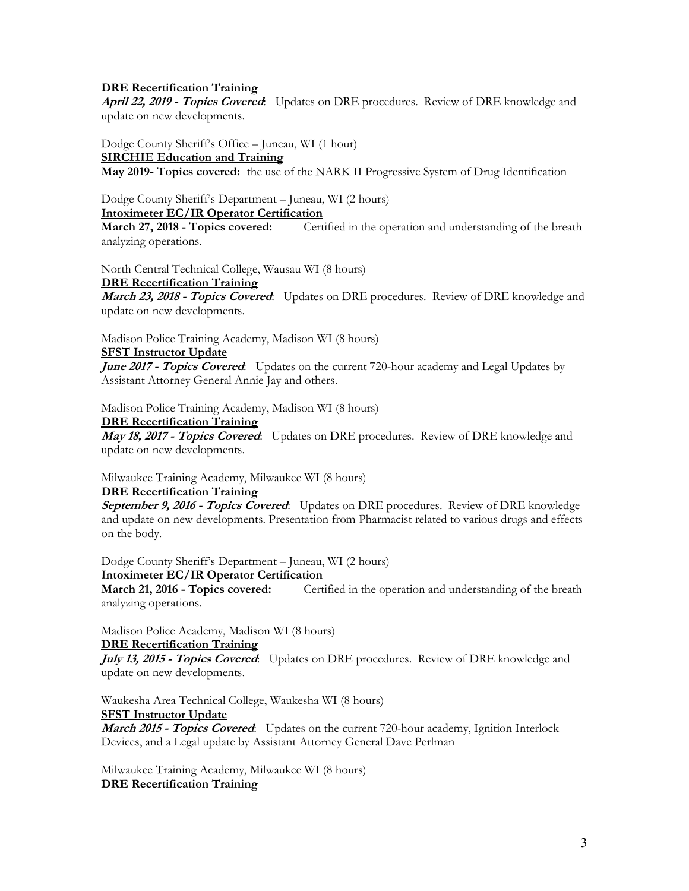#### **DRE Recertification Training**

**April 22, 2019 - Topics Covered**: Updates on DRE procedures. Review of DRE knowledge and update on new developments.

Dodge County Sheriff's Office – Juneau, WI (1 hour) **SIRCHIE Education and Training May 2019- Topics covered:** the use of the NARK II Progressive System of Drug Identification

Dodge County Sheriff's Department – Juneau, WI (2 hours) **Intoximeter EC/IR Operator Certification** 

**March 27, 2018 - Topics covered:** Certified in the operation and understanding of the breath analyzing operations.

North Central Technical College, Wausau WI (8 hours)

#### **DRE Recertification Training**

**March 23, 2018 - Topics Covered**: Updates on DRE procedures. Review of DRE knowledge and update on new developments.

Madison Police Training Academy, Madison WI (8 hours)

#### **SFST Instructor Update**

June 2017 - Topics Covered: Updates on the current 720-hour academy and Legal Updates by Assistant Attorney General Annie Jay and others.

Madison Police Training Academy, Madison WI (8 hours)

#### **DRE Recertification Training**

**May 18, 2017 - Topics Covered**: Updates on DRE procedures. Review of DRE knowledge and update on new developments.

Milwaukee Training Academy, Milwaukee WI (8 hours) **DRE Recertification Training** 

**September 9, 2016 - Topics Covered**: Updates on DRE procedures. Review of DRE knowledge and update on new developments. Presentation from Pharmacist related to various drugs and effects on the body.

Dodge County Sheriff's Department – Juneau, WI (2 hours) **Intoximeter EC/IR Operator Certification** 

**March 21, 2016 - Topics covered:** Certified in the operation and understanding of the breath analyzing operations.

Madison Police Academy, Madison WI (8 hours)

#### **DRE Recertification Training**

**July 13, 2015 - Topics Covered**: Updates on DRE procedures. Review of DRE knowledge and update on new developments.

Waukesha Area Technical College, Waukesha WI (8 hours)

#### **SFST Instructor Update**

**March 2015 - Topics Covered**: Updates on the current 720-hour academy, Ignition Interlock Devices, and a Legal update by Assistant Attorney General Dave Perlman

Milwaukee Training Academy, Milwaukee WI (8 hours) **DRE Recertification Training**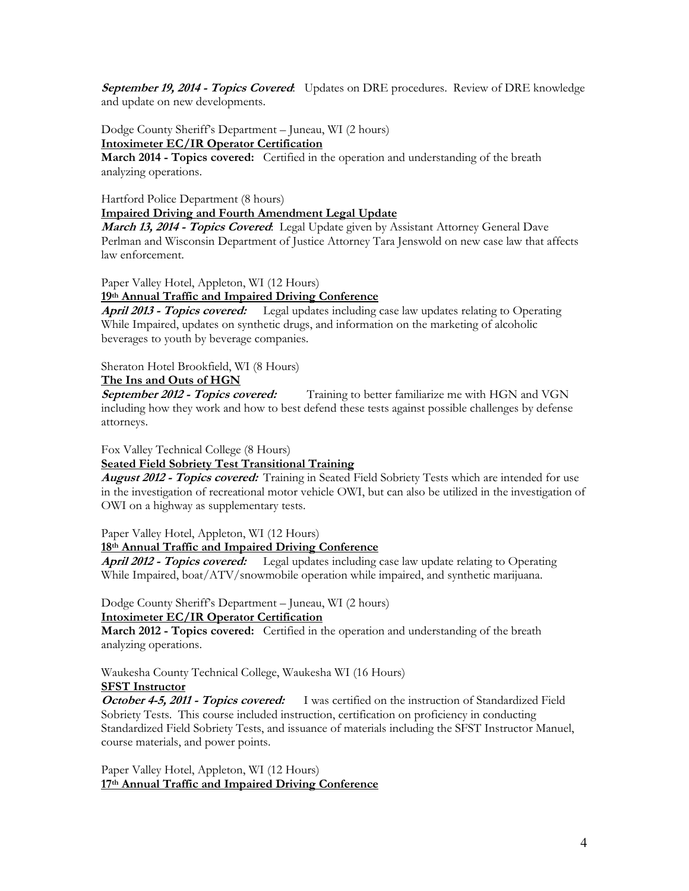**September 19, 2014 - Topics Covered**: Updates on DRE procedures. Review of DRE knowledge and update on new developments.

Dodge County Sheriff's Department – Juneau, WI (2 hours) **Intoximeter EC/IR Operator Certification** 

**March 2014 - Topics covered:** Certified in the operation and understanding of the breath analyzing operations.

Hartford Police Department (8 hours) **Impaired Driving and Fourth Amendment Legal Update** 

**March 13, 2014 - Topics Covered**: Legal Update given by Assistant Attorney General Dave Perlman and Wisconsin Department of Justice Attorney Tara Jenswold on new case law that affects law enforcement.

Paper Valley Hotel, Appleton, WI (12 Hours)

**19th Annual Traffic and Impaired Driving Conference** 

**April 2013 - Topics covered:** Legal updates including case law updates relating to Operating While Impaired, updates on synthetic drugs, and information on the marketing of alcoholic beverages to youth by beverage companies.

Sheraton Hotel Brookfield, WI (8 Hours)

#### **The Ins and Outs of HGN**

**September 2012 - Topics covered:** Training to better familiarize me with HGN and VGN including how they work and how to best defend these tests against possible challenges by defense attorneys.

Fox Valley Technical College (8 Hours)

#### **Seated Field Sobriety Test Transitional Training**

**August 2012 - Topics covered:** Training in Seated Field Sobriety Tests which are intended for use in the investigation of recreational motor vehicle OWI, but can also be utilized in the investigation of OWI on a highway as supplementary tests.

Paper Valley Hotel, Appleton, WI (12 Hours)

#### **18th Annual Traffic and Impaired Driving Conference**

**April 2012 - Topics covered:** Legal updates including case law update relating to Operating While Impaired, boat/ATV/snowmobile operation while impaired, and synthetic marijuana.

Dodge County Sheriff's Department – Juneau, WI (2 hours)

#### **Intoximeter EC/IR Operator Certification**

**March 2012 - Topics covered:** Certified in the operation and understanding of the breath analyzing operations.

Waukesha County Technical College, Waukesha WI (16 Hours)

# **SFST Instructor**

**October 4-5, 2011 - Topics covered:** I was certified on the instruction of Standardized Field Sobriety Tests. This course included instruction, certification on proficiency in conducting Standardized Field Sobriety Tests, and issuance of materials including the SFST Instructor Manuel, course materials, and power points.

Paper Valley Hotel, Appleton, WI (12 Hours) **17th Annual Traffic and Impaired Driving Conference**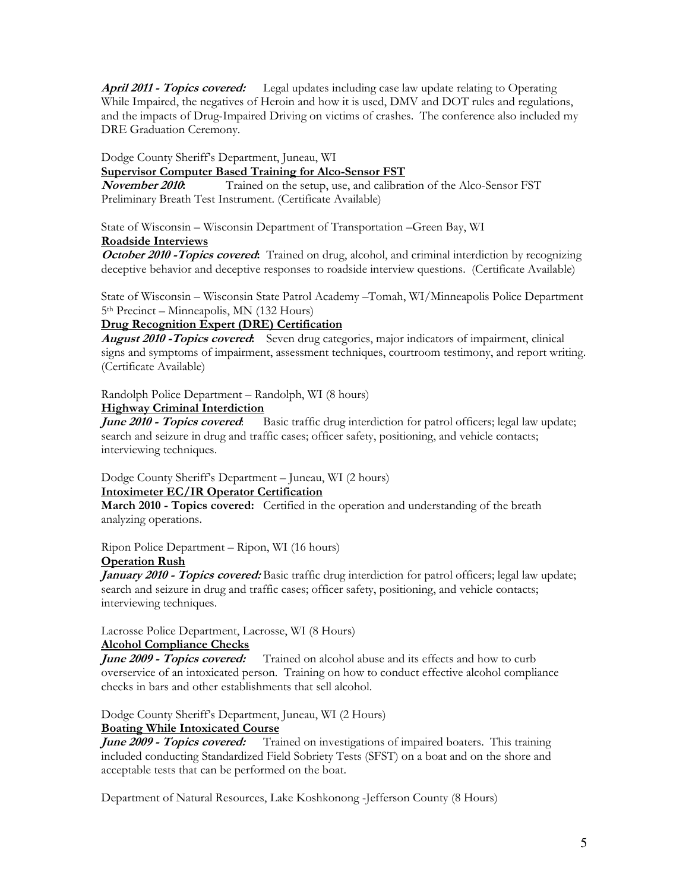**April 2011 - Topics covered:** Legal updates including case law update relating to Operating While Impaired, the negatives of Heroin and how it is used, DMV and DOT rules and regulations, and the impacts of Drug-Impaired Driving on victims of crashes. The conference also included my DRE Graduation Ceremony.

Dodge County Sheriff's Department, Juneau, WI

**Supervisor Computer Based Training for Alco-Sensor FST**<br>**November 2010:** Trained on the setup, use, and calibrat

Trained on the setup, use, and calibration of the Alco-Sensor FST Preliminary Breath Test Instrument. (Certificate Available)

State of Wisconsin – Wisconsin Department of Transportation –Green Bay, WI

#### **Roadside Interviews**

**October 2010 - Topics covered:** Trained on drug, alcohol, and criminal interdiction by recognizing deceptive behavior and deceptive responses to roadside interview questions. (Certificate Available)

State of Wisconsin – Wisconsin State Patrol Academy –Tomah, WI/Minneapolis Police Department 5th Precinct – Minneapolis, MN (132 Hours)

# **Drug Recognition Expert (DRE) Certification**

**August 2010 -Topics covered:** Seven drug categories, major indicators of impairment, clinical signs and symptoms of impairment, assessment techniques, courtroom testimony, and report writing. (Certificate Available)

Randolph Police Department – Randolph, WI (8 hours)

# **Highway Criminal Interdiction**

Basic traffic drug interdiction for patrol officers; legal law update; search and seizure in drug and traffic cases; officer safety, positioning, and vehicle contacts; interviewing techniques.

Dodge County Sheriff's Department – Juneau, WI (2 hours) **Intoximeter EC/IR Operator Certification** 

**March 2010 - Topics covered:** Certified in the operation and understanding of the breath analyzing operations.

Ripon Police Department – Ripon, WI (16 hours)

#### **Operation Rush**

**January 2010 - Topics covered:** Basic traffic drug interdiction for patrol officers; legal law update; search and seizure in drug and traffic cases; officer safety, positioning, and vehicle contacts; interviewing techniques.

Lacrosse Police Department, Lacrosse, WI (8 Hours)

# **Alcohol Compliance Checks**

**June 2009 - Topics covered:** Trained on alcohol abuse and its effects and how to curb overservice of an intoxicated person. Training on how to conduct effective alcohol compliance checks in bars and other establishments that sell alcohol.

Dodge County Sheriff's Department, Juneau, WI (2 Hours)

# **Boating While Intoxicated Course**

**June 2009 - Topics covered:** Trained on investigations of impaired boaters. This training included conducting Standardized Field Sobriety Tests (SFST) on a boat and on the shore and acceptable tests that can be performed on the boat.

Department of Natural Resources, Lake Koshkonong -Jefferson County (8 Hours)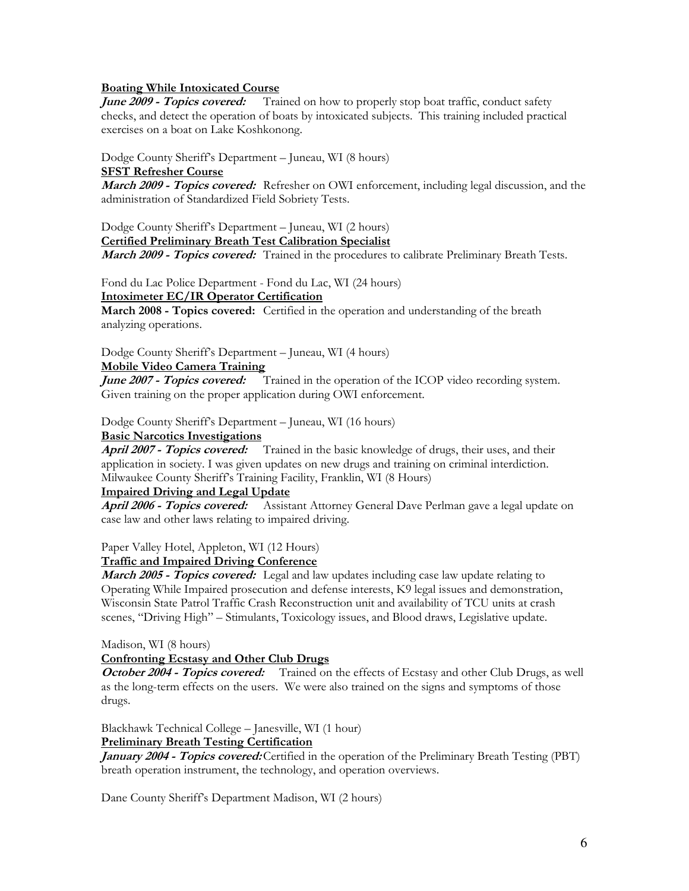#### **Boating While Intoxicated Course**

**June 2009 - Topics covered:** Trained on how to properly stop boat traffic, conduct safety checks, and detect the operation of boats by intoxicated subjects. This training included practical exercises on a boat on Lake Koshkonong.

Dodge County Sheriff's Department – Juneau, WI (8 hours)

#### **SFST Refresher Course**

**March 2009 - Topics covered:** Refresher on OWI enforcement, including legal discussion, and the administration of Standardized Field Sobriety Tests.

Dodge County Sheriff's Department – Juneau, WI (2 hours) **Certified Preliminary Breath Test Calibration Specialist** 

**March 2009 - Topics covered:** Trained in the procedures to calibrate Preliminary Breath Tests.

Fond du Lac Police Department - Fond du Lac, WI (24 hours) **Intoximeter EC/IR Operator Certification** 

**March 2008 - Topics covered:** Certified in the operation and understanding of the breath analyzing operations.

Dodge County Sheriff's Department – Juneau, WI (4 hours)

# **Mobile Video Camera Training**

*June 2007 - Topics covered:* Trained in the operation of the ICOP video recording system. Given training on the proper application during OWI enforcement.

Dodge County Sheriff's Department – Juneau, WI (16 hours)

#### **Basic Narcotics Investigations**

**April 2007 - Topics covered:** Trained in the basic knowledge of drugs, their uses, and their application in society. I was given updates on new drugs and training on criminal interdiction. Milwaukee County Sheriff's Training Facility, Franklin, WI (8 Hours)

#### **Impaired Driving and Legal Update**

**April 2006 - Topics covered:** Assistant Attorney General Dave Perlman gave a legal update on case law and other laws relating to impaired driving.

Paper Valley Hotel, Appleton, WI (12 Hours)

#### **Traffic and Impaired Driving Conference**

**March 2005 - Topics covered:** Legal and law updates including case law update relating to Operating While Impaired prosecution and defense interests, K9 legal issues and demonstration, Wisconsin State Patrol Traffic Crash Reconstruction unit and availability of TCU units at crash scenes, "Driving High" – Stimulants, Toxicology issues, and Blood draws, Legislative update.

Madison, WI (8 hours)

#### **Confronting Ecstasy and Other Club Drugs**

**October 2004 - Topics covered:** Trained on the effects of Ecstasy and other Club Drugs, as well as the long-term effects on the users. We were also trained on the signs and symptoms of those drugs.

Blackhawk Technical College – Janesville, WI (1 hour)

**Preliminary Breath Testing Certification** 

*January 2004 - Topics covered:* Certified in the operation of the Preliminary Breath Testing (PBT) breath operation instrument, the technology, and operation overviews.

Dane County Sheriff's Department Madison, WI (2 hours)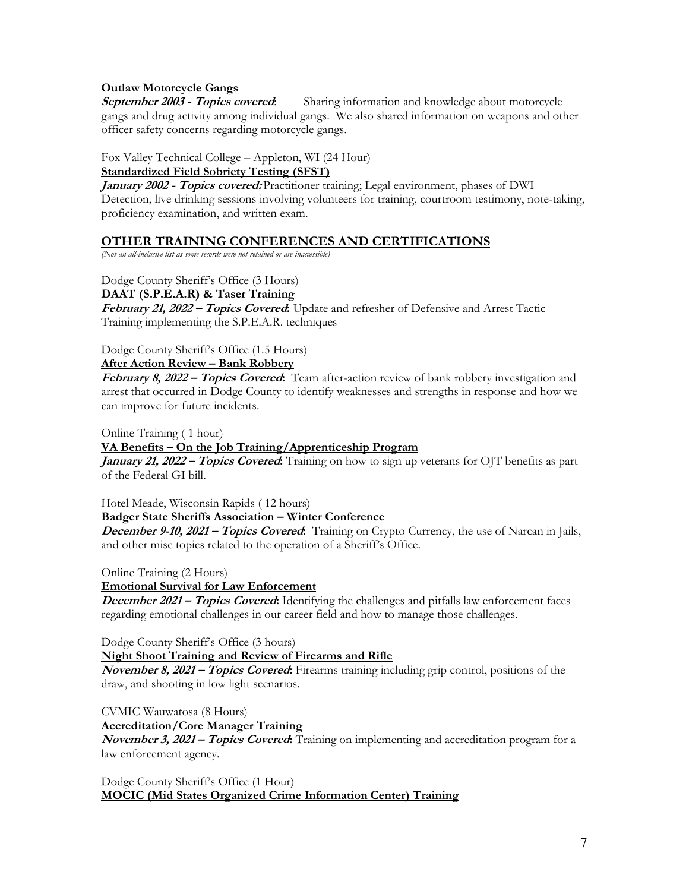# **Outlaw Motorcycle Gangs**

**September 2003 - Topics covered**: Sharing information and knowledge about motorcycle gangs and drug activity among individual gangs. We also shared information on weapons and other officer safety concerns regarding motorcycle gangs.

Fox Valley Technical College – Appleton, WI (24 Hour)

# **Standardized Field Sobriety Testing (SFST)**

**January 2002 - Topics covered:** Practitioner training; Legal environment, phases of DWI Detection, live drinking sessions involving volunteers for training, courtroom testimony, note-taking, proficiency examination, and written exam.

# **OTHER TRAINING CONFERENCES AND CERTIFICATIONS**

*(Not an all-inclusive list as some records were not retained or are inaccessible)* 

# Dodge County Sheriff's Office (3 Hours)

**DAAT (S.P.E.A.R) & Taser Training** 

**February 21, 2022 – Topics Covered:** Update and refresher of Defensive and Arrest Tactic Training implementing the S.P.E.A.R. techniques

Dodge County Sheriff's Office (1.5 Hours)

# **After Action Review – Bank Robbery**

**February 8, 2022 – Topics Covered:** Team after-action review of bank robbery investigation and arrest that occurred in Dodge County to identify weaknesses and strengths in response and how we can improve for future incidents.

Online Training ( 1 hour)

# **VA Benefits – On the Job Training/Apprenticeship Program**

*January 21, 2022 – Topics Covered***:** Training on how to sign up veterans for OJT benefits as part of the Federal GI bill.

Hotel Meade, Wisconsin Rapids ( 12 hours)

### **Badger State Sheriffs Association – Winter Conference**

**December 9-10, 2021 – Topics Covered:** Training on Crypto Currency, the use of Narcan in Jails, and other misc topics related to the operation of a Sheriff's Office.

Online Training (2 Hours)

**Emotional Survival for Law Enforcement** 

**December 2021 – Topics Covered:** Identifying the challenges and pitfalls law enforcement faces regarding emotional challenges in our career field and how to manage those challenges.

Dodge County Sheriff's Office (3 hours)

**Night Shoot Training and Review of Firearms and Rifle** 

**November 8, 2021 – Topics Covered:** Firearms training including grip control, positions of the draw, and shooting in low light scenarios.

CVMIC Wauwatosa (8 Hours)

**Accreditation/Core Manager Training** 

**November 3, 2021 – Topics Covered:** Training on implementing and accreditation program for a law enforcement agency.

Dodge County Sheriff's Office (1 Hour) **MOCIC (Mid States Organized Crime Information Center) Training**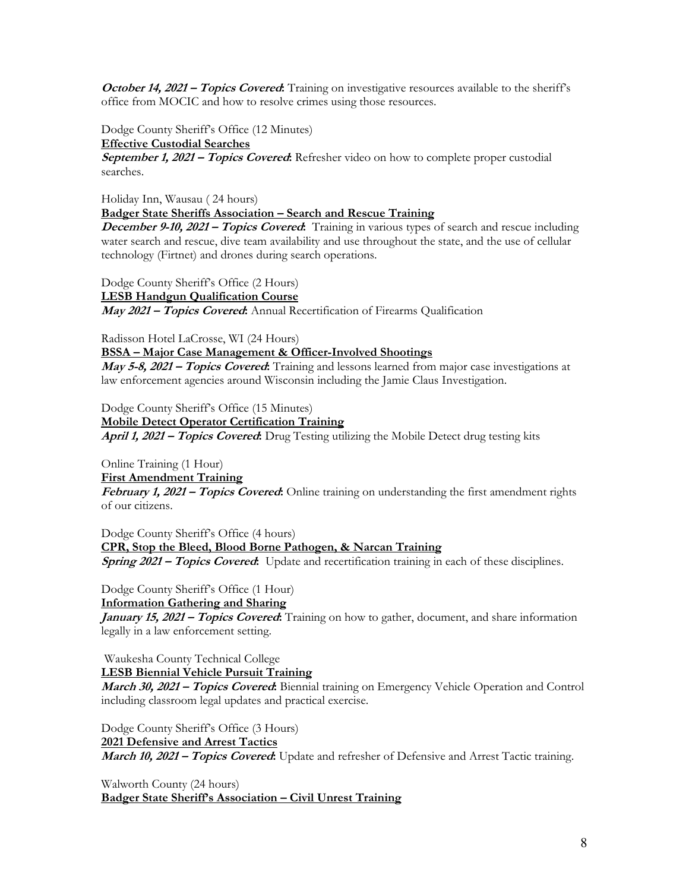**October 14, 2021 – Topics Covered.** Training on investigative resources available to the sheriff's office from MOCIC and how to resolve crimes using those resources.

Dodge County Sheriff's Office (12 Minutes)

**Effective Custodial Searches** 

**September 1, 2021 – Topics Covered:** Refresher video on how to complete proper custodial searches.

Holiday Inn, Wausau ( 24 hours)

**Badger State Sheriffs Association – Search and Rescue Training** 

**December 9-10, 2021 – Topics Covered:** Training in various types of search and rescue including water search and rescue, dive team availability and use throughout the state, and the use of cellular technology (Firtnet) and drones during search operations.

Dodge County Sheriff's Office (2 Hours) **LESB Handgun Qualification Course May 2021 – Topics Covered:** Annual Recertification of Firearms Qualification

Radisson Hotel LaCrosse, WI (24 Hours)

**BSSA – Major Case Management & Officer-Involved Shootings** 

**May 5-8, 2021 – Topics Covered:** Training and lessons learned from major case investigations at law enforcement agencies around Wisconsin including the Jamie Claus Investigation.

Dodge County Sheriff's Office (15 Minutes)

**Mobile Detect Operator Certification Training April 1, 2021 – Topics Covered:** Drug Testing utilizing the Mobile Detect drug testing kits

Online Training (1 Hour)

**First Amendment Training** 

**February 1, 2021 – Topics Covered:** Online training on understanding the first amendment rights of our citizens.

Dodge County Sheriff's Office (4 hours) **CPR, Stop the Bleed, Blood Borne Pathogen, & Narcan Training Spring 2021 – Topics Covered:** Update and recertification training in each of these disciplines.

Dodge County Sheriff's Office (1 Hour)

**Information Gathering and Sharing** 

**January 15, 2021 – Topics Covered:** Training on how to gather, document, and share information legally in a law enforcement setting.

Waukesha County Technical College

**LESB Biennial Vehicle Pursuit Training** 

**March 30, 2021 – Topics Covered:** Biennial training on Emergency Vehicle Operation and Control including classroom legal updates and practical exercise.

Dodge County Sheriff's Office (3 Hours) **2021 Defensive and Arrest Tactics March 10, 2021 – Topics Covered:** Update and refresher of Defensive and Arrest Tactic training.

Walworth County (24 hours) **Badger State Sheriff's Association – Civil Unrest Training**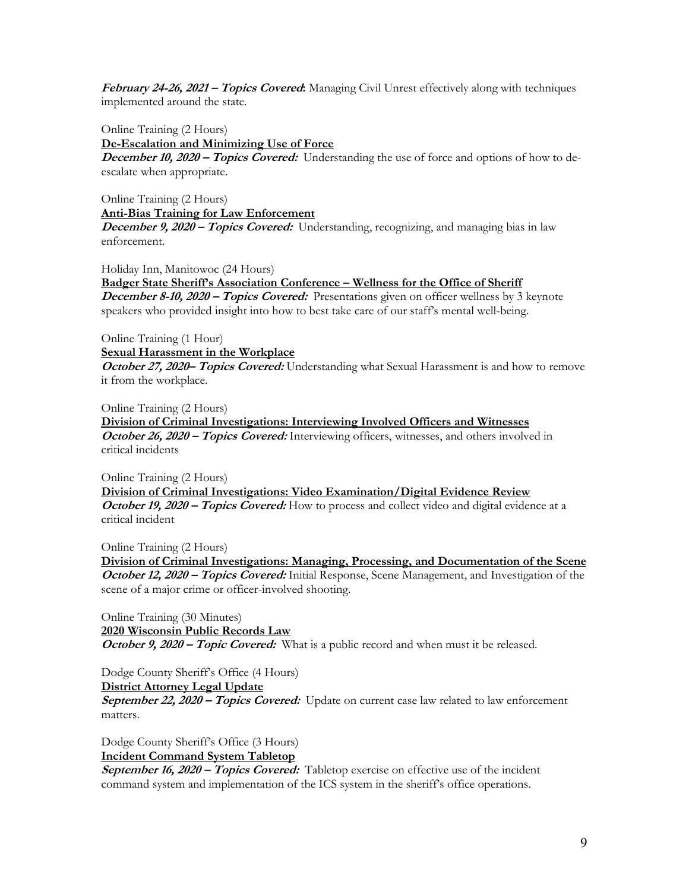**February 24-26, 2021 – Topics Covered:** Managing Civil Unrest effectively along with techniques implemented around the state.

Online Training (2 Hours)

**De-Escalation and Minimizing Use of Force** 

**December 10, 2020 – Topics Covered:** Understanding the use of force and options of how to deescalate when appropriate.

Online Training (2 Hours) **Anti-Bias Training for Law Enforcement December 9, 2020 – Topics Covered:** Understanding, recognizing, and managing bias in law enforcement.

Holiday Inn, Manitowoc (24 Hours)

**Badger State Sheriff's Association Conference – Wellness for the Office of Sheriff December 8-10, 2020 – Topics Covered:** Presentations given on officer wellness by 3 keynote speakers who provided insight into how to best take care of our staff's mental well-being.

Online Training (1 Hour) **Sexual Harassment in the Workplace** 

**October 27, 2020– Topics Covered:** Understanding what Sexual Harassment is and how to remove it from the workplace.

Online Training (2 Hours) **Division of Criminal Investigations: Interviewing Involved Officers and Witnesses October 26, 2020 – Topics Covered:** Interviewing officers, witnesses, and others involved in critical incidents

Online Training (2 Hours) **Division of Criminal Investigations: Video Examination/Digital Evidence Review October 19, 2020 – Topics Covered:** How to process and collect video and digital evidence at a critical incident

Online Training (2 Hours)

**Division of Criminal Investigations: Managing, Processing, and Documentation of the Scene**  October 12, 2020 – Topics Covered: Initial Response, Scene Management, and Investigation of the scene of a major crime or officer-involved shooting.

Online Training (30 Minutes) **2020 Wisconsin Public Records Law October 9, 2020 – Topic Covered:** What is a public record and when must it be released.

Dodge County Sheriff's Office (4 Hours)

**District Attorney Legal Update** 

**September 22, 2020 – Topics Covered:** Update on current case law related to law enforcement matters.

Dodge County Sheriff's Office (3 Hours)

**Incident Command System Tabletop** 

**September 16, 2020 – Topics Covered:** Tabletop exercise on effective use of the incident command system and implementation of the ICS system in the sheriff's office operations.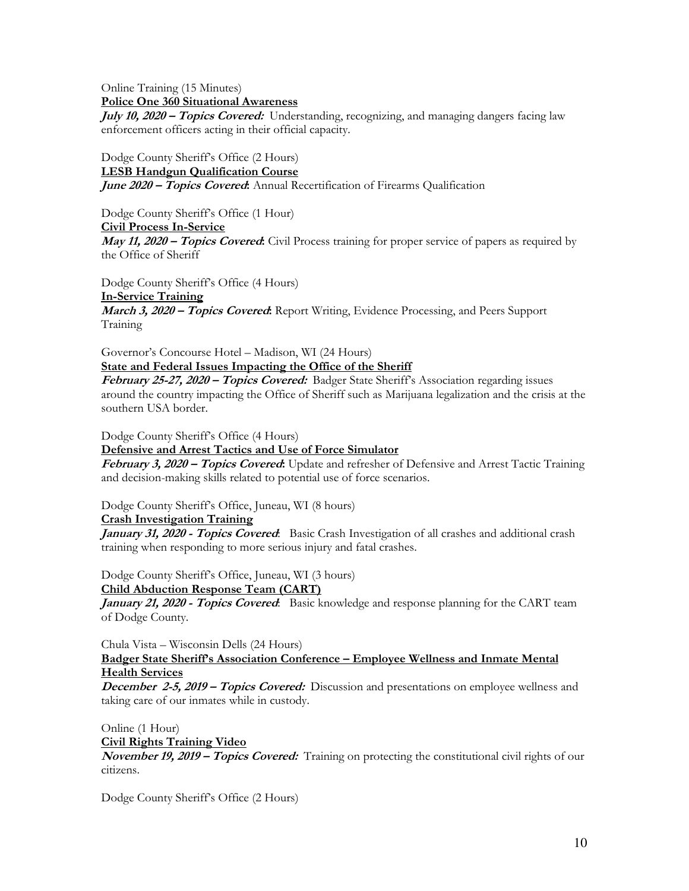Online Training (15 Minutes) **Police One 360 Situational Awareness** 

**July 10, 2020 – Topics Covered:** Understanding, recognizing, and managing dangers facing law enforcement officers acting in their official capacity.

Dodge County Sheriff's Office (2 Hours) **LESB Handgun Qualification Course June 2020 – Topics Covered:** Annual Recertification of Firearms Qualification

Dodge County Sheriff's Office (1 Hour) **Civil Process In-Service May 11, 2020 – Topics Covered:** Civil Process training for proper service of papers as required by the Office of Sheriff

Dodge County Sheriff's Office (4 Hours) **In-Service Training March 3, 2020 – Topics Covered:** Report Writing, Evidence Processing, and Peers Support Training

Governor's Concourse Hotel – Madison, WI (24 Hours) **State and Federal Issues Impacting the Office of the Sheriff** 

**February 25-27, 2020 – Topics Covered:** Badger State Sheriff's Association regarding issues around the country impacting the Office of Sheriff such as Marijuana legalization and the crisis at the southern USA border.

Dodge County Sheriff's Office (4 Hours)

**Defensive and Arrest Tactics and Use of Force Simulator** 

February 3, 2020 - Topics Covered: Update and refresher of Defensive and Arrest Tactic Training and decision-making skills related to potential use of force scenarios.

Dodge County Sheriff's Office, Juneau, WI (8 hours)

**Crash Investigation Training** 

**January 31, 2020 - Topics Covered**: Basic Crash Investigation of all crashes and additional crash training when responding to more serious injury and fatal crashes.

Dodge County Sheriff's Office, Juneau, WI (3 hours)

**Child Abduction Response Team (CART)** 

**January 21, 2020 - Topics Covered**: Basic knowledge and response planning for the CART team of Dodge County.

Chula Vista – Wisconsin Dells (24 Hours)

**Badger State Sheriff's Association Conference – Employee Wellness and Inmate Mental Health Services** 

**December 2-5, 2019 – Topics Covered:** Discussion and presentations on employee wellness and taking care of our inmates while in custody.

Online (1 Hour) **Civil Rights Training Video** 

**November 19, 2019 – Topics Covered:** Training on protecting the constitutional civil rights of our citizens.

Dodge County Sheriff's Office (2 Hours)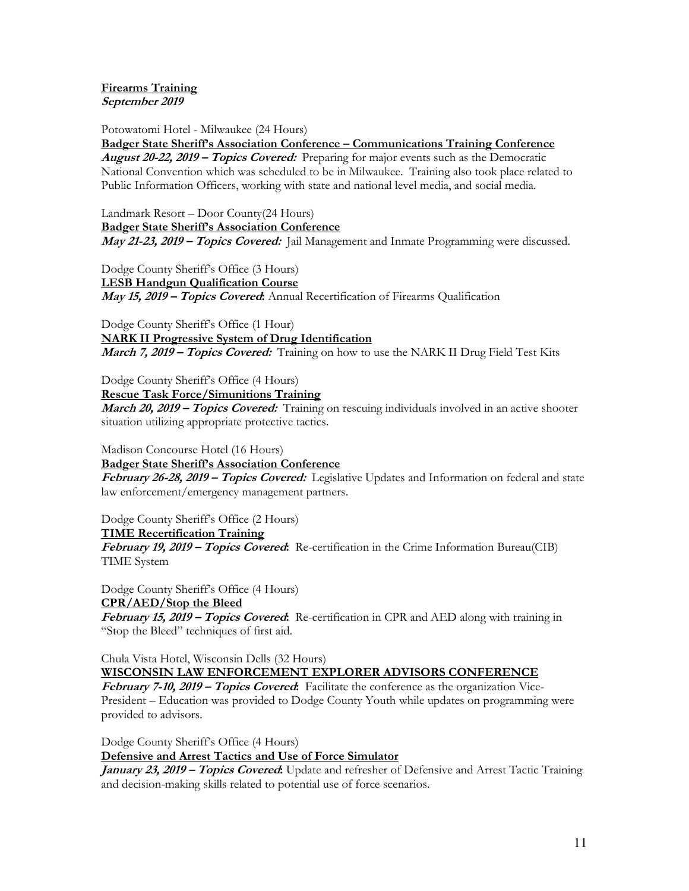#### **Firearms Training September 2019**

Potowatomi Hotel - Milwaukee (24 Hours)

**Badger State Sheriff's Association Conference – Communications Training Conference** 

**August 20-22, 2019 – Topics Covered:** Preparing for major events such as the Democratic National Convention which was scheduled to be in Milwaukee. Training also took place related to Public Information Officers, working with state and national level media, and social media.

Landmark Resort – Door County(24 Hours) **Badger State Sheriff's Association Conference May 21-23, 2019 – Topics Covered:** Jail Management and Inmate Programming were discussed.

Dodge County Sheriff's Office (3 Hours) **LESB Handgun Qualification Course May 15, 2019 – Topics Covered:** Annual Recertification of Firearms Qualification

Dodge County Sheriff's Office (1 Hour) **NARK II Progressive System of Drug Identification March 7, 2019 – Topics Covered:** Training on how to use the NARK II Drug Field Test Kits

Dodge County Sheriff's Office (4 Hours)

**Rescue Task Force/Simunitions Training** 

**March 20, 2019 – Topics Covered:** Training on rescuing individuals involved in an active shooter situation utilizing appropriate protective tactics.

Madison Concourse Hotel (16 Hours)

**Badger State Sheriff's Association Conference** 

**February 26-28, 2019 – Topics Covered:** Legislative Updates and Information on federal and state law enforcement/emergency management partners.

Dodge County Sheriff's Office (2 Hours)

**TIME Recertification Training** 

**February 19, 2019 – Topics Covered:** Re-certification in the Crime Information Bureau(CIB) TIME System

Dodge County Sheriff's Office (4 Hours) **CPR/AED/Stop the Bleed** 

**February 15, 2019 – Topics Covered:** Re-certification in CPR and AED along with training in "Stop the Bleed" techniques of first aid.

Chula Vista Hotel, Wisconsin Dells (32 Hours)

**WISCONSIN LAW ENFORCEMENT EXPLORER ADVISORS CONFERENCE** 

**February 7-10, 2019 – Topics Covered:** Facilitate the conference as the organization Vice-President – Education was provided to Dodge County Youth while updates on programming were provided to advisors.

Dodge County Sheriff's Office (4 Hours)

# **Defensive and Arrest Tactics and Use of Force Simulator**

**January 23, 2019 – Topics Covered:** Update and refresher of Defensive and Arrest Tactic Training and decision-making skills related to potential use of force scenarios.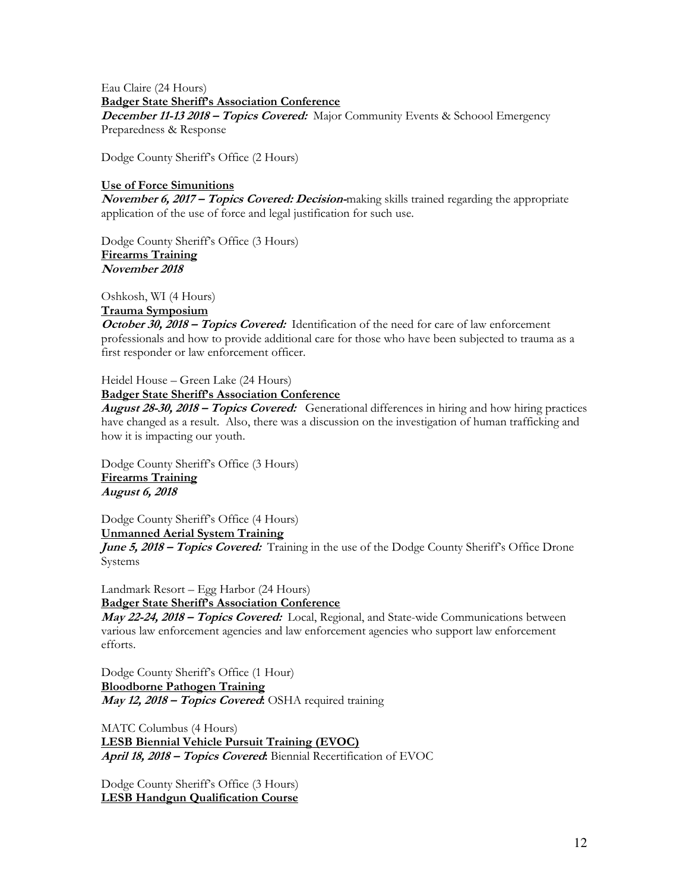Eau Claire (24 Hours) **Badger State Sheriff's Association Conference December 11-13 2018 – Topics Covered:** Major Community Events & Schoool Emergency Preparedness & Response

Dodge County Sheriff's Office (2 Hours)

#### **Use of Force Simunitions**

**November 6, 2017 – Topics Covered: Decision-**making skills trained regarding the appropriate application of the use of force and legal justification for such use.

Dodge County Sheriff's Office (3 Hours) **Firearms Training November 2018** 

Oshkosh, WI (4 Hours)

#### **Trauma Symposium**

**October 30, 2018 – Topics Covered:** Identification of the need for care of law enforcement professionals and how to provide additional care for those who have been subjected to trauma as a first responder or law enforcement officer.

### Heidel House – Green Lake (24 Hours)

#### **Badger State Sheriff's Association Conference**

**August 28-30, 2018 – Topics Covered:** Generational differences in hiring and how hiring practices have changed as a result. Also, there was a discussion on the investigation of human trafficking and how it is impacting our youth.

Dodge County Sheriff's Office (3 Hours) **Firearms Training August 6, 2018** 

Dodge County Sheriff's Office (4 Hours)

**Unmanned Aerial System Training June 5, 2018 – Topics Covered:** Training in the use of the Dodge County Sheriff's Office Drone

Systems

Landmark Resort – Egg Harbor (24 Hours) **Badger State Sheriff's Association Conference** 

**May 22-24, 2018 – Topics Covered:** Local, Regional, and State-wide Communications between various law enforcement agencies and law enforcement agencies who support law enforcement efforts.

Dodge County Sheriff's Office (1 Hour) **Bloodborne Pathogen Training May 12, 2018 – Topics Covered:** OSHA required training

MATC Columbus (4 Hours) **LESB Biennial Vehicle Pursuit Training (EVOC) April 18, 2018 – Topics Covered:** Biennial Recertification of EVOC

Dodge County Sheriff's Office (3 Hours) **LESB Handgun Qualification Course**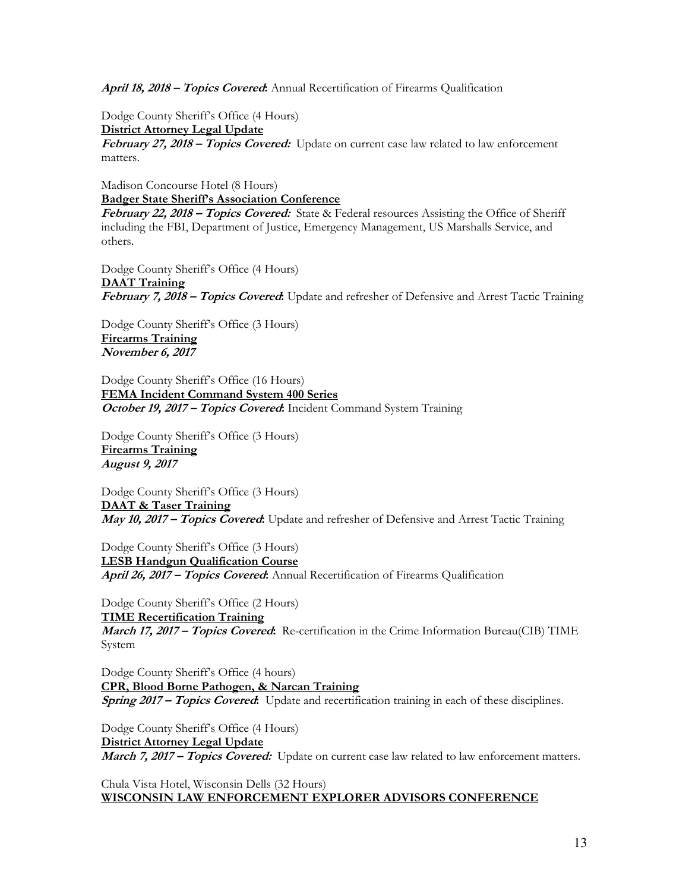**April 18, 2018 – Topics Covered:** Annual Recertification of Firearms Qualification

Dodge County Sheriff's Office (4 Hours) **District Attorney Legal Update February 27, 2018 – Topics Covered:** Update on current case law related to law enforcement matters.

Madison Concourse Hotel (8 Hours) **Badger State Sheriff's Association Conference** 

**February 22, 2018 – Topics Covered:** State & Federal resources Assisting the Office of Sheriff including the FBI, Department of Justice, Emergency Management, US Marshalls Service, and others.

Dodge County Sheriff's Office (4 Hours)

**DAAT Training February 7, 2018 – Topics Covered:** Update and refresher of Defensive and Arrest Tactic Training

Dodge County Sheriff's Office (3 Hours) **Firearms Training November 6, 2017** 

Dodge County Sheriff's Office (16 Hours) **FEMA Incident Command System 400 Series October 19, 2017 – Topics Covered:** Incident Command System Training

Dodge County Sheriff's Office (3 Hours) **Firearms Training August 9, 2017** 

Dodge County Sheriff's Office (3 Hours) **DAAT & Taser Training May 10, 2017 – Topics Covered:** Update and refresher of Defensive and Arrest Tactic Training

Dodge County Sheriff's Office (3 Hours) **LESB Handgun Qualification Course April 26, 2017 – Topics Covered:** Annual Recertification of Firearms Qualification

Dodge County Sheriff's Office (2 Hours) **TIME Recertification Training March 17, 2017 – Topics Covered:** Re-certification in the Crime Information Bureau(CIB) TIME System

Dodge County Sheriff's Office (4 hours) **CPR, Blood Borne Pathogen, & Narcan Training Spring 2017 – Topics Covered:** Update and recertification training in each of these disciplines.

Dodge County Sheriff's Office (4 Hours) **District Attorney Legal Update March 7, 2017 – Topics Covered:** Update on current case law related to law enforcement matters.

Chula Vista Hotel, Wisconsin Dells (32 Hours) **WISCONSIN LAW ENFORCEMENT EXPLORER ADVISORS CONFERENCE**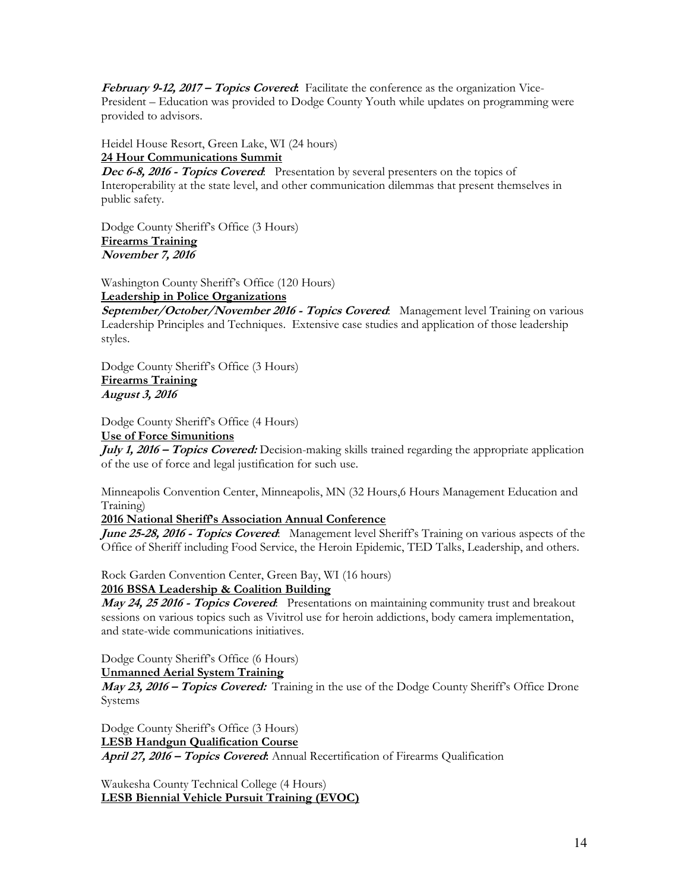**February 9-12, 2017 – Topics Covered:** Facilitate the conference as the organization Vice-President – Education was provided to Dodge County Youth while updates on programming were provided to advisors.

Heidel House Resort, Green Lake, WI (24 hours) **24 Hour Communications Summit** 

**Dec 6-8, 2016 - Topics Covered:** Presentation by several presenters on the topics of Interoperability at the state level, and other communication dilemmas that present themselves in public safety.

Dodge County Sheriff's Office (3 Hours) **Firearms Training November 7, 2016** 

Washington County Sheriff's Office (120 Hours) **Leadership in Police Organizations** 

**September/October/November 2016 - Topics Covered**: Management level Training on various Leadership Principles and Techniques. Extensive case studies and application of those leadership styles.

Dodge County Sheriff's Office (3 Hours) **Firearms Training August 3, 2016** 

Dodge County Sheriff's Office (4 Hours)

# **Use of Force Simunitions**

**July 1, 2016 – Topics Covered:** Decision-making skills trained regarding the appropriate application of the use of force and legal justification for such use.

Minneapolis Convention Center, Minneapolis, MN (32 Hours,6 Hours Management Education and Training)

#### **2016 National Sheriff's Association Annual Conference**

June 25-28, 2016 - Topics Covered: Management level Sheriff's Training on various aspects of the Office of Sheriff including Food Service, the Heroin Epidemic, TED Talks, Leadership, and others.

Rock Garden Convention Center, Green Bay, WI (16 hours)

#### **2016 BSSA Leadership & Coalition Building**

**May 24, 25 2016 - Topics Covered**: Presentations on maintaining community trust and breakout sessions on various topics such as Vivitrol use for heroin addictions, body camera implementation, and state-wide communications initiatives.

Dodge County Sheriff's Office (6 Hours)

**Unmanned Aerial System Training** 

**May 23, 2016 – Topics Covered:** Training in the use of the Dodge County Sheriff's Office Drone Systems

Dodge County Sheriff's Office (3 Hours) **LESB Handgun Qualification Course April 27, 2016 – Topics Covered:** Annual Recertification of Firearms Qualification

Waukesha County Technical College (4 Hours) **LESB Biennial Vehicle Pursuit Training (EVOC)**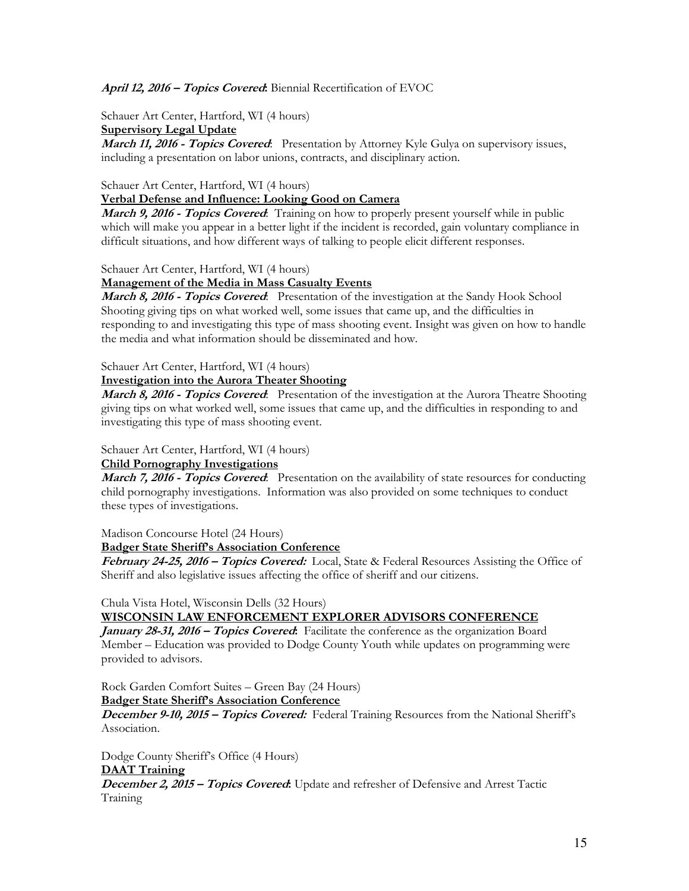#### **April 12, 2016 – Topics Covered:** Biennial Recertification of EVOC

Schauer Art Center, Hartford, WI (4 hours)

**Supervisory Legal Update** 

**March 11, 2016 - Topics Covered**: Presentation by Attorney Kyle Gulya on supervisory issues, including a presentation on labor unions, contracts, and disciplinary action.

#### Schauer Art Center, Hartford, WI (4 hours)

#### **Verbal Defense and Influence: Looking Good on Camera**

**March 9, 2016 - Topics Covered**: Training on how to properly present yourself while in public which will make you appear in a better light if the incident is recorded, gain voluntary compliance in difficult situations, and how different ways of talking to people elicit different responses.

Schauer Art Center, Hartford, WI (4 hours)

#### **Management of the Media in Mass Casualty Events**

March 8, 2016 - Topics Covered: Presentation of the investigation at the Sandy Hook School Shooting giving tips on what worked well, some issues that came up, and the difficulties in responding to and investigating this type of mass shooting event. Insight was given on how to handle the media and what information should be disseminated and how.

#### Schauer Art Center, Hartford, WI (4 hours)

#### **Investigation into the Aurora Theater Shooting**

**March 8, 2016 - Topics Covered**: Presentation of the investigation at the Aurora Theatre Shooting giving tips on what worked well, some issues that came up, and the difficulties in responding to and investigating this type of mass shooting event.

#### Schauer Art Center, Hartford, WI (4 hours)

#### **Child Pornography Investigations**

**March 7, 2016 - Topics Covered:** Presentation on the availability of state resources for conducting child pornography investigations. Information was also provided on some techniques to conduct these types of investigations.

Madison Concourse Hotel (24 Hours)

**Badger State Sheriff's Association Conference** 

**February 24-25, 2016 – Topics Covered:** Local, State & Federal Resources Assisting the Office of Sheriff and also legislative issues affecting the office of sheriff and our citizens.

Chula Vista Hotel, Wisconsin Dells (32 Hours)

#### **WISCONSIN LAW ENFORCEMENT EXPLORER ADVISORS CONFERENCE**

**January 28-31, 2016 – Topics Covered:** Facilitate the conference as the organization Board Member – Education was provided to Dodge County Youth while updates on programming were provided to advisors.

Rock Garden Comfort Suites – Green Bay (24 Hours)

#### **Badger State Sheriff's Association Conference**

**December 9-10, 2015 – Topics Covered:** Federal Training Resources from the National Sheriff's Association.

Dodge County Sheriff's Office (4 Hours) **DAAT Training December 2, 2015 – Topics Covered:** Update and refresher of Defensive and Arrest Tactic Training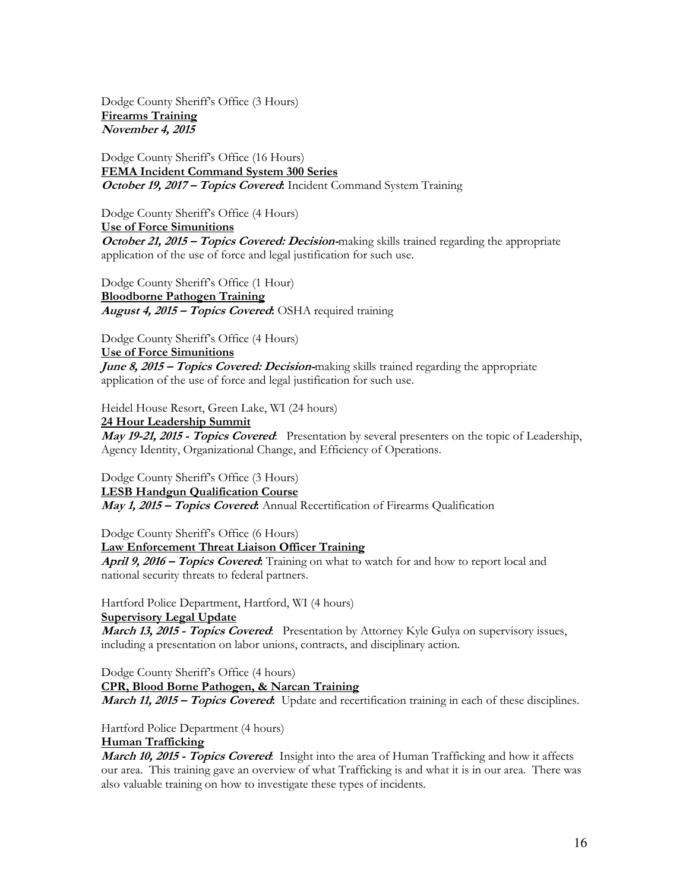Dodge County Sheriff's Office (3 Hours) **Firearms Training November 4, 2015** 

Dodge County Sheriff's Office (16 Hours) **FEMA Incident Command System 300 Series October 19, 2017 – Topics Covered:** Incident Command System Training

Dodge County Sheriff's Office (4 Hours) **Use of Force Simunitions October 21, 2015 – Topics Covered: Decision-**making skills trained regarding the appropriate application of the use of force and legal justification for such use.

Dodge County Sheriff's Office (1 Hour) **Bloodborne Pathogen Training August 4, 2015 – Topics Covered:** OSHA required training

Dodge County Sheriff's Office (4 Hours)

**Use of Force Simunitions June 8, 2015 – Topics Covered: Decision-**making skills trained regarding the appropriate application of the use of force and legal justification for such use.

Heidel House Resort, Green Lake, WI (24 hours)

**24 Hour Leadership Summit May 19-21, 2015 - Topics Covered**: Presentation by several presenters on the topic of Leadership, Agency Identity, Organizational Change, and Efficiency of Operations.

Dodge County Sheriff's Office (3 Hours) **LESB Handgun Qualification Course May 1, 2015 – Topics Covered:** Annual Recertification of Firearms Qualification

Dodge County Sheriff's Office (6 Hours) **Law Enforcement Threat Liaison Officer Training April 9, 2016 – Topics Covered:** Training on what to watch for and how to report local and national security threats to federal partners.

Hartford Police Department, Hartford, WI (4 hours)

**Supervisory Legal Update** 

March 13, 2015 - Topics Covered: Presentation by Attorney Kyle Gulya on supervisory issues, including a presentation on labor unions, contracts, and disciplinary action.

Dodge County Sheriff's Office (4 hours) **CPR, Blood Borne Pathogen, & Narcan Training March 11, 2015 – Topics Covered:** Update and recertification training in each of these disciplines.

Hartford Police Department (4 hours) **Human Trafficking** 

**March 10, 2015 - Topics Covered**: Insight into the area of Human Trafficking and how it affects our area. This training gave an overview of what Trafficking is and what it is in our area. There was also valuable training on how to investigate these types of incidents.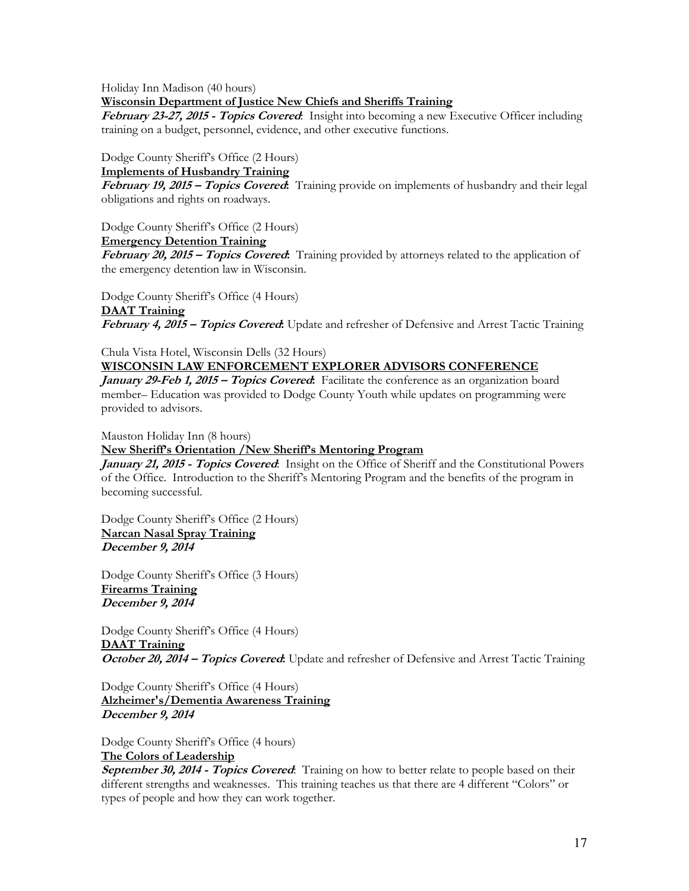Holiday Inn Madison (40 hours)

**Wisconsin Department of Justice New Chiefs and Sheriffs Training** 

**February 23-27, 2015 - Topics Covered**: Insight into becoming a new Executive Officer including training on a budget, personnel, evidence, and other executive functions.

Dodge County Sheriff's Office (2 Hours)

#### **Implements of Husbandry Training**

**February 19, 2015 – Topics Covered:** Training provide on implements of husbandry and their legal obligations and rights on roadways.

Dodge County Sheriff's Office (2 Hours)

**Emergency Detention Training** 

**February 20, 2015 – Topics Covered:** Training provided by attorneys related to the application of the emergency detention law in Wisconsin.

Dodge County Sheriff's Office (4 Hours) **DAAT Training February 4, 2015 – Topics Covered:** Update and refresher of Defensive and Arrest Tactic Training

Chula Vista Hotel, Wisconsin Dells (32 Hours)

# **WISCONSIN LAW ENFORCEMENT EXPLORER ADVISORS CONFERENCE**

**January 29-Feb 1, 2015 – Topics Covered:** Facilitate the conference as an organization board member– Education was provided to Dodge County Youth while updates on programming were provided to advisors.

Mauston Holiday Inn (8 hours)

# **New Sheriff's Orientation /New Sheriff's Mentoring Program**

**January 21, 2015 - Topics Covered**: Insight on the Office of Sheriff and the Constitutional Powers of the Office. Introduction to the Sheriff's Mentoring Program and the benefits of the program in becoming successful.

Dodge County Sheriff's Office (2 Hours) **Narcan Nasal Spray Training December 9, 2014** 

Dodge County Sheriff's Office (3 Hours) **Firearms Training December 9, 2014** 

Dodge County Sheriff's Office (4 Hours) **DAAT Training October 20, 2014 – Topics Covered:** Update and refresher of Defensive and Arrest Tactic Training

Dodge County Sheriff's Office (4 Hours) **Alzheimer's/Dementia Awareness Training December 9, 2014** 

Dodge County Sheriff's Office (4 hours) **The Colors of Leadership** 

**September 30, 2014 - Topics Covered**: Training on how to better relate to people based on their different strengths and weaknesses. This training teaches us that there are 4 different "Colors" or types of people and how they can work together.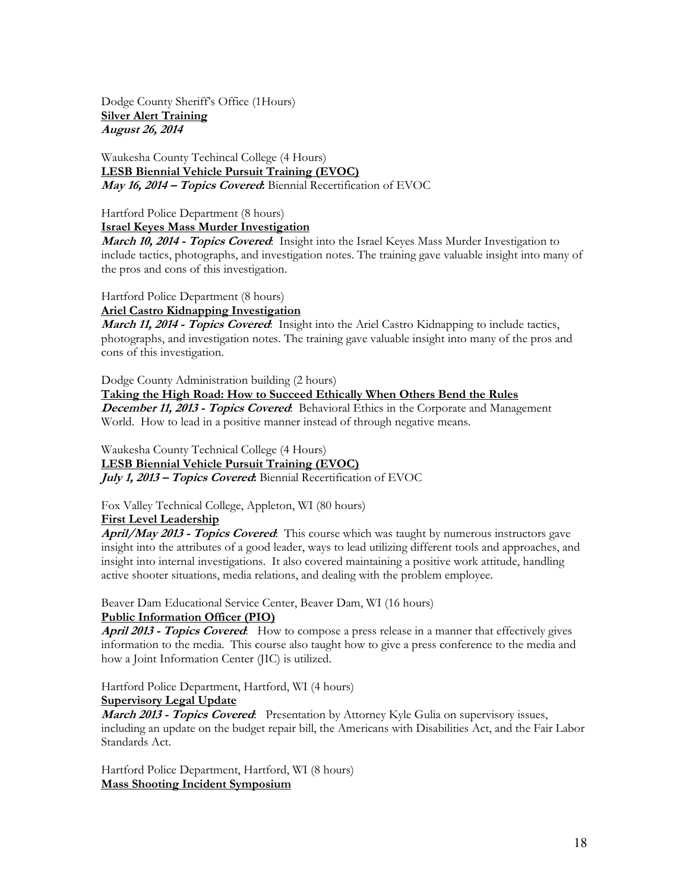Dodge County Sheriff's Office (1Hours) **Silver Alert Training August 26, 2014** 

Waukesha County Techincal College (4 Hours) **LESB Biennial Vehicle Pursuit Training (EVOC) May 16, 2014 – Topics Covered:** Biennial Recertification of EVOC

Hartford Police Department (8 hours)

**Israel Keyes Mass Murder Investigation** 

**March 10, 2014 - Topics Covered**: Insight into the Israel Keyes Mass Murder Investigation to include tactics, photographs, and investigation notes. The training gave valuable insight into many of the pros and cons of this investigation.

Hartford Police Department (8 hours)

**Ariel Castro Kidnapping Investigation** 

**March 11, 2014 - Topics Covered**: Insight into the Ariel Castro Kidnapping to include tactics, photographs, and investigation notes. The training gave valuable insight into many of the pros and cons of this investigation.

Dodge County Administration building (2 hours)

**Taking the High Road: How to Succeed Ethically When Others Bend the Rules December 11, 2013 - Topics Covered**: Behavioral Ethics in the Corporate and Management World. How to lead in a positive manner instead of through negative means.

Waukesha County Technical College (4 Hours) **LESB Biennial Vehicle Pursuit Training (EVOC) July 1, 2013 – Topics Covered:** Biennial Recertification of EVOC

Fox Valley Technical College, Appleton, WI (80 hours)

**First Level Leadership** 

**April/May 2013 - Topics Covered**: This course which was taught by numerous instructors gave insight into the attributes of a good leader, ways to lead utilizing different tools and approaches, and insight into internal investigations. It also covered maintaining a positive work attitude, handling active shooter situations, media relations, and dealing with the problem employee.

Beaver Dam Educational Service Center, Beaver Dam, WI (16 hours)

#### **Public Information Officer (PIO)**

**April 2013 - Topics Covered**: How to compose a press release in a manner that effectively gives information to the media. This course also taught how to give a press conference to the media and how a Joint Information Center (JIC) is utilized.

Hartford Police Department, Hartford, WI (4 hours)

# **Supervisory Legal Update**

**March 2013 - Topics Covered:** Presentation by Attorney Kyle Gulia on supervisory issues, including an update on the budget repair bill, the Americans with Disabilities Act, and the Fair Labor Standards Act.

Hartford Police Department, Hartford, WI (8 hours) **Mass Shooting Incident Symposium**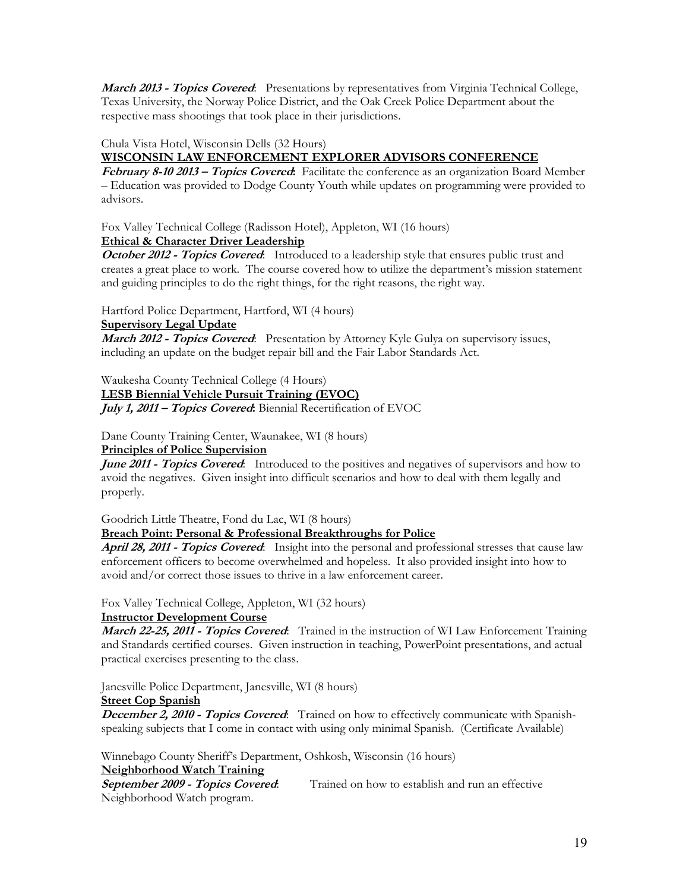**March 2013 - Topics Covered:** Presentations by representatives from Virginia Technical College, Texas University, the Norway Police District, and the Oak Creek Police Department about the respective mass shootings that took place in their jurisdictions.

Chula Vista Hotel, Wisconsin Dells (32 Hours)

#### **WISCONSIN LAW ENFORCEMENT EXPLORER ADVISORS CONFERENCE**

**February 8-10 2013 – Topics Covered:** Facilitate the conference as an organization Board Member – Education was provided to Dodge County Youth while updates on programming were provided to advisors.

Fox Valley Technical College (Radisson Hotel), Appleton, WI (16 hours)

# **Ethical & Character Driver Leadership**

**October 2012 - Topics Covered:** Introduced to a leadership style that ensures public trust and creates a great place to work. The course covered how to utilize the department's mission statement and guiding principles to do the right things, for the right reasons, the right way.

Hartford Police Department, Hartford, WI (4 hours)

#### **Supervisory Legal Update**

**March 2012 - Topics Covered**: Presentation by Attorney Kyle Gulya on supervisory issues, including an update on the budget repair bill and the Fair Labor Standards Act.

Waukesha County Technical College (4 Hours)

**LESB Biennial Vehicle Pursuit Training (EVOC)** 

**July 1, 2011 – Topics Covered:** Biennial Recertification of EVOC

Dane County Training Center, Waunakee, WI (8 hours) **Principles of Police Supervision** 

**June 2011 - Topics Covered:** Introduced to the positives and negatives of supervisors and how to avoid the negatives. Given insight into difficult scenarios and how to deal with them legally and properly.

Goodrich Little Theatre, Fond du Lac, WI (8 hours)

# **Breach Point: Personal & Professional Breakthroughs for Police**

**April 28, 2011 - Topics Covered**: Insight into the personal and professional stresses that cause law enforcement officers to become overwhelmed and hopeless. It also provided insight into how to avoid and/or correct those issues to thrive in a law enforcement career.

Fox Valley Technical College, Appleton, WI (32 hours)

#### **Instructor Development Course**

**March 22-25, 2011 - Topics Covered**: Trained in the instruction of WI Law Enforcement Training and Standards certified courses. Given instruction in teaching, PowerPoint presentations, and actual practical exercises presenting to the class.

Janesville Police Department, Janesville, WI (8 hours)

#### **Street Cop Spanish**

**December 2, 2010 - Topics Covered:** Trained on how to effectively communicate with Spanishspeaking subjects that I come in contact with using only minimal Spanish. (Certificate Available)

Winnebago County Sheriff's Department, Oshkosh, Wisconsin (16 hours)

# **Neighborhood Watch Training**

Trained on how to establish and run an effective Neighborhood Watch program.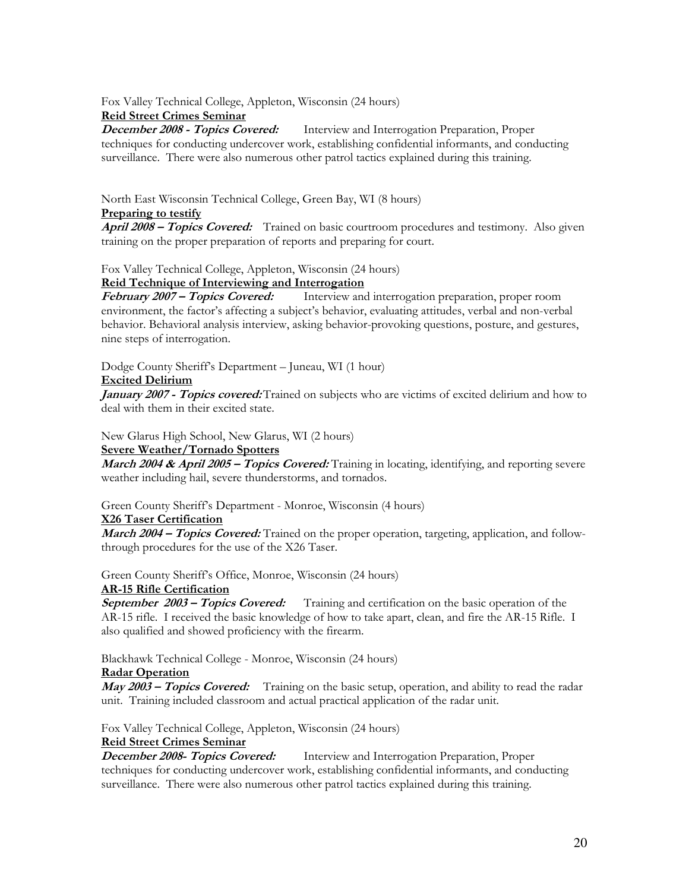Fox Valley Technical College, Appleton, Wisconsin (24 hours)

**Reid Street Crimes Seminar** Interview and Interrogation Preparation, Proper techniques for conducting undercover work, establishing confidential informants, and conducting surveillance. There were also numerous other patrol tactics explained during this training.

North East Wisconsin Technical College, Green Bay, WI (8 hours)

#### **Preparing to testify**

**April 2008 – Topics Covered:** Trained on basic courtroom procedures and testimony. Also given training on the proper preparation of reports and preparing for court.

Fox Valley Technical College, Appleton, Wisconsin (24 hours)

# **Reid Technique of Interviewing and Interrogation**<br>*February 2007 – Topics Covered:* **Interview and**

Interview and interrogation preparation, proper room environment, the factor's affecting a subject's behavior, evaluating attitudes, verbal and non-verbal behavior. Behavioral analysis interview, asking behavior-provoking questions, posture, and gestures, nine steps of interrogation.

Dodge County Sheriff's Department – Juneau, WI (1 hour)

#### **Excited Delirium**

**January 2007 - Topics covered:** Trained on subjects who are victims of excited delirium and how to deal with them in their excited state.

New Glarus High School, New Glarus, WI (2 hours)

#### **Severe Weather/Tornado Spotters**

**March 2004 & April 2005 – Topics Covered:** Training in locating, identifying, and reporting severe weather including hail, severe thunderstorms, and tornados.

Green County Sheriff's Department - Monroe, Wisconsin (4 hours)

# **X26 Taser Certification**

**March 2004 – Topics Covered:** Trained on the proper operation, targeting, application, and followthrough procedures for the use of the X26 Taser.

Green County Sheriff's Office, Monroe, Wisconsin (24 hours)

#### **AR-15 Rifle Certification**

**September 2003 – Topics Covered:** Training and certification on the basic operation of the AR-15 rifle. I received the basic knowledge of how to take apart, clean, and fire the AR-15 Rifle. I also qualified and showed proficiency with the firearm.

Blackhawk Technical College - Monroe, Wisconsin (24 hours)

#### **Radar Operation**

**May 2003 – Topics Covered:** Training on the basic setup, operation, and ability to read the radar unit. Training included classroom and actual practical application of the radar unit.

Fox Valley Technical College, Appleton, Wisconsin (24 hours)

**Reid Street Crimes Seminar<br>December 2008- Topics Covered:** Interview and Interrogation Preparation, Proper techniques for conducting undercover work, establishing confidential informants, and conducting surveillance. There were also numerous other patrol tactics explained during this training.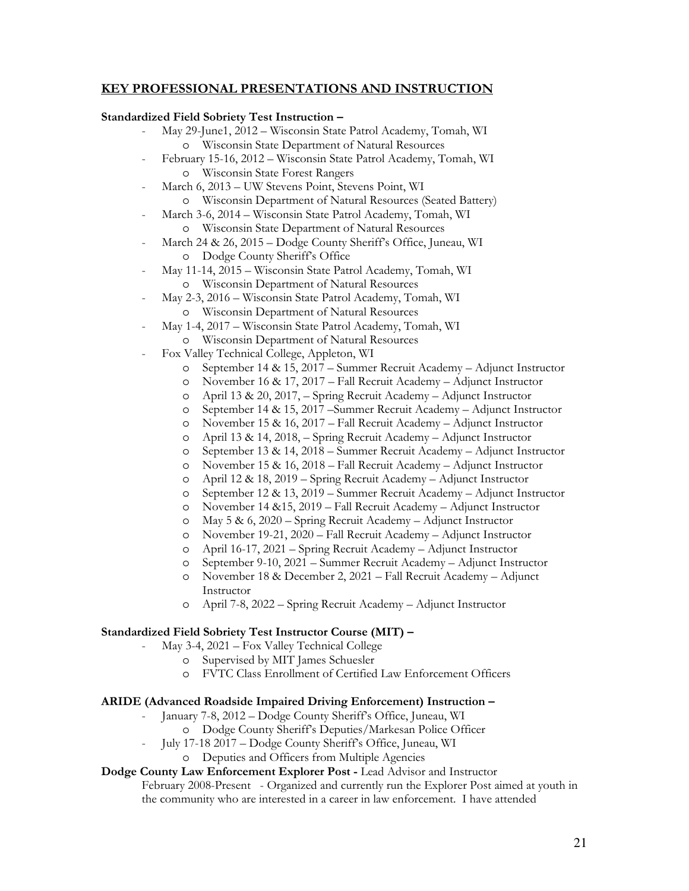# **KEY PROFESSIONAL PRESENTATIONS AND INSTRUCTION**

#### **Standardized Field Sobriety Test Instruction –**

- May 29-June1, 2012 Wisconsin State Patrol Academy, Tomah, WI o Wisconsin State Department of Natural Resources
- February 15-16, 2012 Wisconsin State Patrol Academy, Tomah, WI o Wisconsin State Forest Rangers
- March 6, 2013 UW Stevens Point, Stevens Point, WI
- o Wisconsin Department of Natural Resources (Seated Battery) - March 3-6, 2014 – Wisconsin State Patrol Academy, Tomah, WI
	-
	- o Wisconsin State Department of Natural Resources
- March 24 & 26, 2015 Dodge County Sheriff's Office, Juneau, WI o Dodge County Sheriff's Office
- May 11-14, 2015 Wisconsin State Patrol Academy, Tomah, WI o Wisconsin Department of Natural Resources
- May 2-3, 2016 Wisconsin State Patrol Academy, Tomah, WI o Wisconsin Department of Natural Resources
- May 1-4, 2017 Wisconsin State Patrol Academy, Tomah, WI
	- o Wisconsin Department of Natural Resources
- Fox Valley Technical College, Appleton, WI
	- o September 14 & 15, 2017 Summer Recruit Academy Adjunct Instructor
	- o November 16 & 17, 2017 Fall Recruit Academy Adjunct Instructor
	- o April 13 & 20, 2017, Spring Recruit Academy Adjunct Instructor
	- o September 14 & 15, 2017 –Summer Recruit Academy Adjunct Instructor
	- o November 15 & 16, 2017 Fall Recruit Academy Adjunct Instructor
	- o April 13 & 14, 2018, Spring Recruit Academy Adjunct Instructor
	- o September 13 & 14, 2018 Summer Recruit Academy Adjunct Instructor
	- o November 15 & 16, 2018 Fall Recruit Academy Adjunct Instructor
	- o April 12 & 18, 2019 Spring Recruit Academy Adjunct Instructor
	- o September 12 & 13, 2019 Summer Recruit Academy Adjunct Instructor
	- o November 14 &15, 2019 Fall Recruit Academy Adjunct Instructor
	- o May 5 & 6, 2020 Spring Recruit Academy Adjunct Instructor
	- o November 19-21, 2020 Fall Recruit Academy Adjunct Instructor
	- o April 16-17, 2021 Spring Recruit Academy Adjunct Instructor
	- o September 9-10, 2021 Summer Recruit Academy Adjunct Instructor
	- o November 18 & December 2, 2021 Fall Recruit Academy Adjunct Instructor
	- o April 7-8, 2022 Spring Recruit Academy Adjunct Instructor

#### **Standardized Field Sobriety Test Instructor Course (MIT) –**

- May 3-4, 2021 Fox Valley Technical College
	- o Supervised by MIT James Schuesler
	- o FVTC Class Enrollment of Certified Law Enforcement Officers

#### **ARIDE (Advanced Roadside Impaired Driving Enforcement) Instruction –**

- January 7-8, 2012 Dodge County Sheriff's Office, Juneau, WI
	- o Dodge County Sheriff's Deputies/Markesan Police Officer
- July 17-18 2017 Dodge County Sheriff's Office, Juneau, WI
	- o Deputies and Officers from Multiple Agencies

# **Dodge County Law Enforcement Explorer Post -** Lead Advisor and Instructor

February 2008-Present - Organized and currently run the Explorer Post aimed at youth in the community who are interested in a career in law enforcement. I have attended